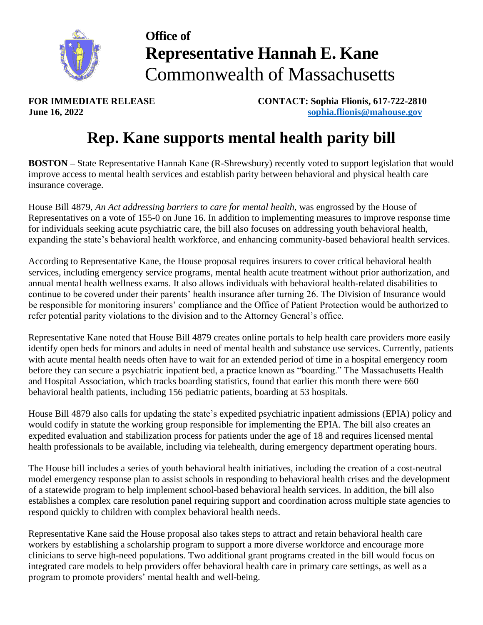

## **Office of Representative Hannah E. Kane** Commonwealth of Massachusetts

**FOR IMMEDIATE RELEASE CONTACT: Sophia Flionis, 617-722-2810 June 16, 2022 [sophia.flionis@mahouse.gov](mailto:sophia.flionis@mahouse.gov)**

## **Rep. Kane supports mental health parity bill**

**BOSTON –** State Representative Hannah Kane (R-Shrewsbury) recently voted to support legislation that would improve access to mental health services and establish parity between behavioral and physical health care insurance coverage.

House Bill 4879, *An Act addressing barriers to care for mental health*, was engrossed by the House of Representatives on a vote of 155-0 on June 16. In addition to implementing measures to improve response time for individuals seeking acute psychiatric care, the bill also focuses on addressing youth behavioral health, expanding the state's behavioral health workforce, and enhancing community-based behavioral health services.

According to Representative Kane, the House proposal requires insurers to cover critical behavioral health services, including emergency service programs, mental health acute treatment without prior authorization, and annual mental health wellness exams. It also allows individuals with behavioral health-related disabilities to continue to be covered under their parents' health insurance after turning 26. The Division of Insurance would be responsible for monitoring insurers' compliance and the Office of Patient Protection would be authorized to refer potential parity violations to the division and to the Attorney General's office.

Representative Kane noted that House Bill 4879 creates online portals to help health care providers more easily identify open beds for minors and adults in need of mental health and substance use services. Currently, patients with acute mental health needs often have to wait for an extended period of time in a hospital emergency room before they can secure a psychiatric inpatient bed, a practice known as "boarding." The Massachusetts Health and Hospital Association, which tracks boarding statistics, found that earlier this month there were 660 behavioral health patients, including 156 pediatric patients, boarding at 53 hospitals.

House Bill 4879 also calls for updating the state's expedited psychiatric inpatient admissions (EPIA) policy and would codify in statute the working group responsible for implementing the EPIA. The bill also creates an expedited evaluation and stabilization process for patients under the age of 18 and requires licensed mental health professionals to be available, including via telehealth, during emergency department operating hours.

The House bill includes a series of youth behavioral health initiatives, including the creation of a cost-neutral model emergency response plan to assist schools in responding to behavioral health crises and the development of a statewide program to help implement school-based behavioral health services. In addition, the bill also establishes a complex care resolution panel requiring support and coordination across multiple state agencies to respond quickly to children with complex behavioral health needs.

Representative Kane said the House proposal also takes steps to attract and retain behavioral health care workers by establishing a scholarship program to support a more diverse workforce and encourage more clinicians to serve high-need populations. Two additional grant programs created in the bill would focus on integrated care models to help providers offer behavioral health care in primary care settings, as well as a program to promote providers' mental health and well-being.